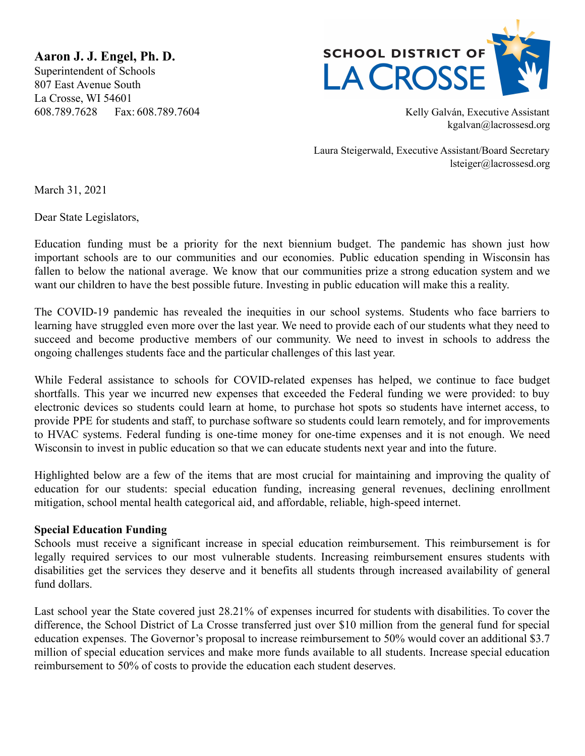**Aaron J. J. Engel, Ph. D.** Superintendent of Schools 807 East Avenue South La Crosse, WI 54601 608.789.7628 Fax: 608.789.7604 Kelly Galván, Executive Assistant



kgalvan@lacrossesd.org

Laura Steigerwald, Executive Assistant/Board Secretary lsteiger@lacrossesd.org

March 31, 2021

Dear State Legislators,

Education funding must be a priority for the next biennium budget. The pandemic has shown just how important schools are to our communities and our economies. Public education spending in Wisconsin has fallen to below the national average. We know that our communities prize a strong education system and we want our children to have the best possible future. Investing in public education will make this a reality.

The COVID-19 pandemic has revealed the inequities in our school systems. Students who face barriers to learning have struggled even more over the last year. We need to provide each of our students what they need to succeed and become productive members of our community. We need to invest in schools to address the ongoing challenges students face and the particular challenges of this last year.

While Federal assistance to schools for COVID-related expenses has helped, we continue to face budget shortfalls. This year we incurred new expenses that exceeded the Federal funding we were provided: to buy electronic devices so students could learn at home, to purchase hot spots so students have internet access, to provide PPE for students and staff, to purchase software so students could learn remotely, and for improvements to HVAC systems. Federal funding is one-time money for one-time expenses and it is not enough. We need Wisconsin to invest in public education so that we can educate students next year and into the future.

Highlighted below are a few of the items that are most crucial for maintaining and improving the quality of education for our students: special education funding, increasing general revenues, declining enrollment mitigation, school mental health categorical aid, and affordable, reliable, high-speed internet.

# **Special Education Funding**

Schools must receive a significant increase in special education reimbursement. This reimbursement is for legally required services to our most vulnerable students. Increasing reimbursement ensures students with disabilities get the services they deserve and it benefits all students through increased availability of general fund dollars.

Last school year the State covered just 28.21% of expenses incurred for students with disabilities. To cover the difference, the School District of La Crosse transferred just over \$10 million from the general fund for special education expenses. The Governor's proposal to increase reimbursement to 50% would cover an additional \$3.7 million of special education services and make more funds available to all students. Increase special education reimbursement to 50% of costs to provide the education each student deserves.